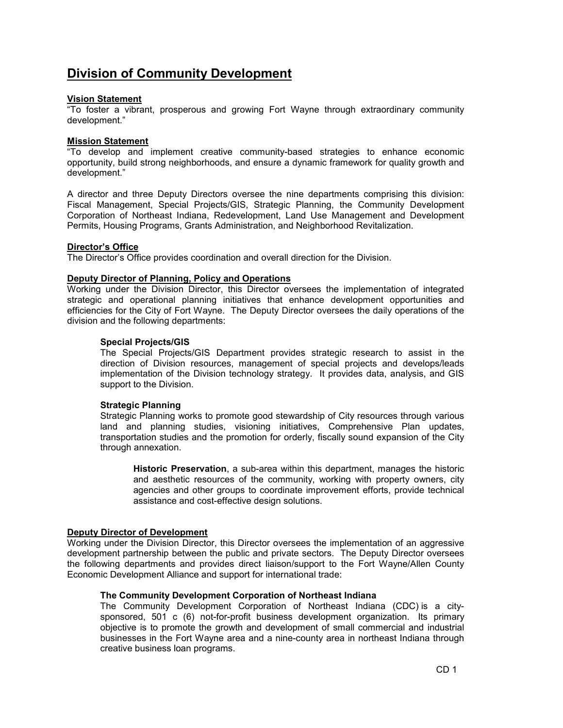# Division of Community Development

# Vision Statement

"To foster a vibrant, prosperous and growing Fort Wayne through extraordinary community development."

# Mission Statement

"To develop and implement creative community-based strategies to enhance economic opportunity, build strong neighborhoods, and ensure a dynamic framework for quality growth and development."

A director and three Deputy Directors oversee the nine departments comprising this division: Fiscal Management, Special Projects/GIS, Strategic Planning, the Community Development Corporation of Northeast Indiana, Redevelopment, Land Use Management and Development Permits, Housing Programs, Grants Administration, and Neighborhood Revitalization.

# Director's Office

The Director's Office provides coordination and overall direction for the Division.

### Deputy Director of Planning, Policy and Operations

Working under the Division Director, this Director oversees the implementation of integrated strategic and operational planning initiatives that enhance development opportunities and efficiencies for the City of Fort Wayne. The Deputy Director oversees the daily operations of the division and the following departments:

# Special Projects/GIS

The Special Projects/GIS Department provides strategic research to assist in the direction of Division resources, management of special projects and develops/leads implementation of the Division technology strategy. It provides data, analysis, and GIS support to the Division.

### Strategic Planning

Strategic Planning works to promote good stewardship of City resources through various land and planning studies, visioning initiatives, Comprehensive Plan updates, transportation studies and the promotion for orderly, fiscally sound expansion of the City through annexation.

Historic Preservation, a sub-area within this department, manages the historic and aesthetic resources of the community, working with property owners, city agencies and other groups to coordinate improvement efforts, provide technical assistance and cost-effective design solutions.

### Deputy Director of Development

Working under the Division Director, this Director oversees the implementation of an aggressive development partnership between the public and private sectors. The Deputy Director oversees the following departments and provides direct liaison/support to the Fort Wayne/Allen County Economic Development Alliance and support for international trade:

# The Community Development Corporation of Northeast Indiana

The Community Development Corporation of Northeast Indiana (CDC) is a citysponsored, 501 c (6) not-for-profit business development organization. Its primary objective is to promote the growth and development of small commercial and industrial businesses in the Fort Wayne area and a nine-county area in northeast Indiana through creative business loan programs.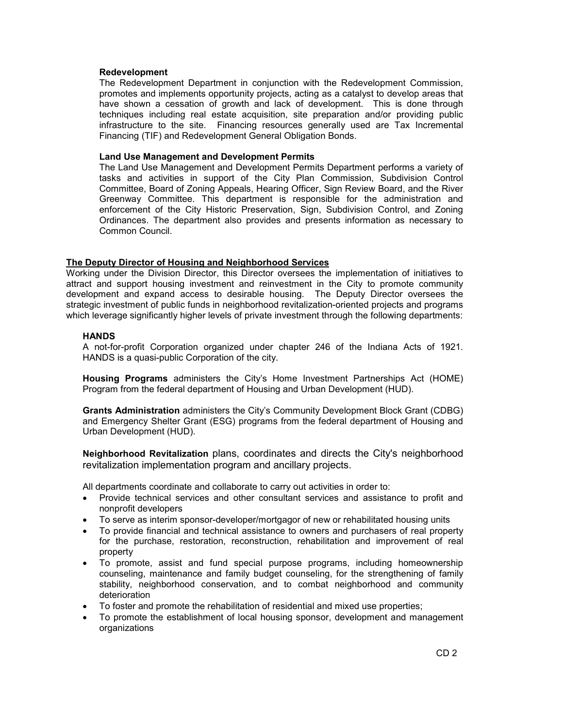#### Redevelopment

The Redevelopment Department in conjunction with the Redevelopment Commission, promotes and implements opportunity projects, acting as a catalyst to develop areas that have shown a cessation of growth and lack of development. This is done through techniques including real estate acquisition, site preparation and/or providing public infrastructure to the site. Financing resources generally used are Tax Incremental Financing (TIF) and Redevelopment General Obligation Bonds.

#### Land Use Management and Development Permits

The Land Use Management and Development Permits Department performs a variety of tasks and activities in support of the City Plan Commission, Subdivision Control Committee, Board of Zoning Appeals, Hearing Officer, Sign Review Board, and the River Greenway Committee. This department is responsible for the administration and enforcement of the City Historic Preservation, Sign, Subdivision Control, and Zoning Ordinances. The department also provides and presents information as necessary to Common Council.

### The Deputy Director of Housing and Neighborhood Services

Working under the Division Director, this Director oversees the implementation of initiatives to attract and support housing investment and reinvestment in the City to promote community development and expand access to desirable housing. The Deputy Director oversees the strategic investment of public funds in neighborhood revitalization-oriented projects and programs which leverage significantly higher levels of private investment through the following departments:

#### **HANDS**

A not-for-profit Corporation organized under chapter 246 of the Indiana Acts of 1921. HANDS is a quasi-public Corporation of the city.

Housing Programs administers the City's Home Investment Partnerships Act (HOME) Program from the federal department of Housing and Urban Development (HUD).

Grants Administration administers the City's Community Development Block Grant (CDBG) and Emergency Shelter Grant (ESG) programs from the federal department of Housing and Urban Development (HUD).

Neighborhood Revitalization plans, coordinates and directs the City's neighborhood revitalization implementation program and ancillary projects.

All departments coordinate and collaborate to carry out activities in order to:

- Provide technical services and other consultant services and assistance to profit and nonprofit developers
- To serve as interim sponsor-developer/mortgagor of new or rehabilitated housing units
- To provide financial and technical assistance to owners and purchasers of real property for the purchase, restoration, reconstruction, rehabilitation and improvement of real property
- To promote, assist and fund special purpose programs, including homeownership counseling, maintenance and family budget counseling, for the strengthening of family stability, neighborhood conservation, and to combat neighborhood and community deterioration
- To foster and promote the rehabilitation of residential and mixed use properties;
- To promote the establishment of local housing sponsor, development and management organizations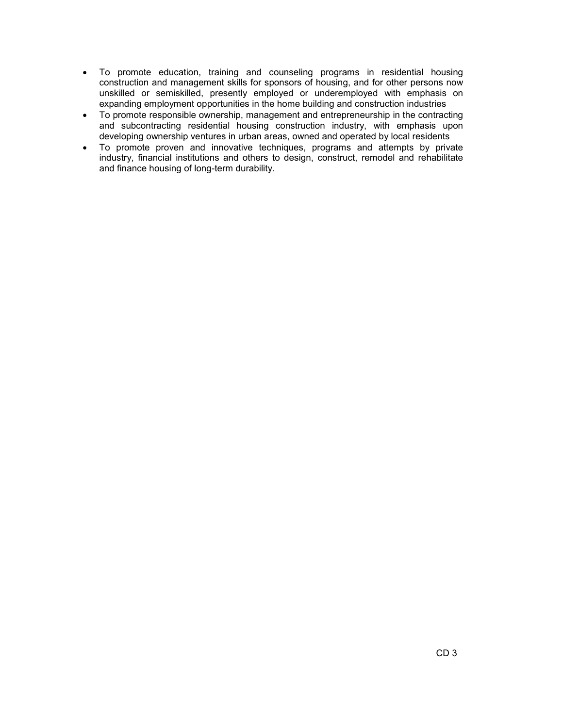- To promote education, training and counseling programs in residential housing construction and management skills for sponsors of housing, and for other persons now unskilled or semiskilled, presently employed or underemployed with emphasis on expanding employment opportunities in the home building and construction industries
- To promote responsible ownership, management and entrepreneurship in the contracting and subcontracting residential housing construction industry, with emphasis upon developing ownership ventures in urban areas, owned and operated by local residents
- To promote proven and innovative techniques, programs and attempts by private industry, financial institutions and others to design, construct, remodel and rehabilitate and finance housing of long-term durability.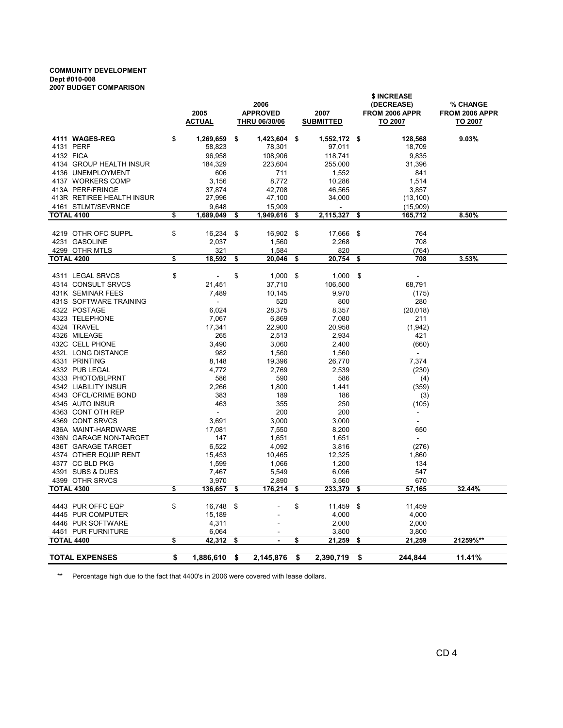#### COMMUNITY DEVELOPMENT Dept #010-008 2007 BUDGET COMPARISON

|                                        | 2005                   | 2006<br><b>APPROVED</b><br>2007 |                 |    |                  |    | \$ INCREASE<br>(DECREASE)<br>FROM 2006 APPR | <b>% CHANGE</b><br>FROM 2006 APPR |  |  |
|----------------------------------------|------------------------|---------------------------------|-----------------|----|------------------|----|---------------------------------------------|-----------------------------------|--|--|
|                                        | ACTUAL                 |                                 | THRU 06/30/06   |    | <b>SUBMITTED</b> |    | <b>TO 2007</b>                              | TO 2007                           |  |  |
| 4111 WAGES-REG                         | \$<br>1,269,659        | \$                              | 1,423,604       | \$ | 1,552,172        | \$ | 128,568                                     | $9.03\%$                          |  |  |
| 4131 PERF                              | 58,823                 |                                 | 78,301          |    | 97,011           |    | 18,709                                      |                                   |  |  |
| 4132 FICA                              | 96,958                 |                                 | 108,906         |    | 118,741          |    | 9,835                                       |                                   |  |  |
| 4134 GROUP HEALTH INSUR                | 184,329                |                                 | 223,604         |    | 255,000          |    | 31,396                                      |                                   |  |  |
| 4136 UNEMPLOYMENT                      | 606                    |                                 | 711             |    | 1,552            |    | 841                                         |                                   |  |  |
| 4137 WORKERS COMP                      | 3,156                  |                                 | 8,772           |    | 10,286           |    | 1,514                                       |                                   |  |  |
| 413A PERF/FRINGE                       | 37,874                 |                                 | 42,708          |    | 46,565           |    | 3,857                                       |                                   |  |  |
| 413R RETIREE HEALTH INSUR              | 27,996                 |                                 | 47,100          |    | 34,000           |    | (13, 100)                                   |                                   |  |  |
| 4161 STLMT/SEVRNCE                     | 9,648                  |                                 | 15,909          |    |                  |    | (15,909)                                    |                                   |  |  |
| <b>TOTAL 4100</b>                      | \$<br>1,689,049        | \$                              | 1,949,616       | \$ | 2,115,327        | \$ | 165,712                                     | 8.50%                             |  |  |
|                                        |                        |                                 |                 |    |                  |    |                                             |                                   |  |  |
| 4219 OTHR OFC SUPPL<br>4231 GASOLINE   | \$<br>16,234<br>2,037  | \$                              | 16,902<br>1,560 | \$ | 17,666<br>2,268  | \$ | 764<br>708                                  |                                   |  |  |
| 4299 OTHR MTLS                         | 321                    |                                 | 1,584           |    | 820              |    | (764)                                       |                                   |  |  |
| TOTAL 4200                             | \$<br>18,592           | \$                              | 20,046          | \$ | 20,754           | \$ | 708                                         | 3.53%                             |  |  |
|                                        |                        |                                 |                 |    |                  |    |                                             |                                   |  |  |
| 4311 LEGAL SRVCS                       | \$                     | \$                              | 1,000           | \$ | 1,000            | \$ | $\sim$                                      |                                   |  |  |
| 4314 CONSULT SRVCS                     | 21,451                 |                                 | 37,710          |    | 106,500          |    | 68,791                                      |                                   |  |  |
| 431K SEMINAR FEES                      | 7,489                  |                                 | 10,145          |    | 9,970            |    | (175)                                       |                                   |  |  |
| 431S SOFTWARE TRAINING                 | ÷.                     |                                 | 520             |    | 800              |    | 280                                         |                                   |  |  |
| 4322 POSTAGE                           | 6,024                  |                                 | 28,375          |    | 8,357            |    | (20, 018)                                   |                                   |  |  |
| 4323 TELEPHONE                         | 7,067                  |                                 | 6,869           |    | 7,080            |    | 211                                         |                                   |  |  |
| 4324 TRAVEL                            | 17,341                 |                                 | 22,900          |    | 20,958           |    | (1, 942)                                    |                                   |  |  |
| 4326 MILEAGE                           | 265                    |                                 | 2,513           |    | 2,934            |    | 421                                         |                                   |  |  |
| 432C CELL PHONE                        | 3,490                  |                                 | 3,060           |    | 2,400            |    | (660)                                       |                                   |  |  |
| 432L LONG DISTANCE                     | 982                    |                                 | 1,560           |    | 1,560            |    | ÷                                           |                                   |  |  |
| 4331 PRINTING                          | 8,148                  |                                 | 19,396          |    | 26,770           |    | 7,374                                       |                                   |  |  |
| 4332 PUB LEGAL<br>4333 PHOTO/BLPRNT    | 4,772<br>586           |                                 | 2,769<br>590    |    | 2,539<br>586     |    | (230)                                       |                                   |  |  |
| 4342 LIABILITY INSUR                   | 2,266                  |                                 | 1,800           |    | 1,441            |    | (4)<br>(359)                                |                                   |  |  |
| 4343 OFCL/CRIME BOND                   | 383                    |                                 | 189             |    | 186              |    | (3)                                         |                                   |  |  |
| 4345 AUTO INSUR                        | 463                    |                                 | 355             |    | 250              |    | (105)                                       |                                   |  |  |
| 4363 CONT OTH REP                      | ÷.                     |                                 | 200             |    | 200              |    | $\blacksquare$                              |                                   |  |  |
| 4369 CONT SRVCS                        | 3,691                  |                                 | 3,000           |    | 3,000            |    | $\sim$                                      |                                   |  |  |
| 436A MAINT-HARDWARE                    | 17,081                 |                                 | 7,550           |    | 8,200            |    | 650                                         |                                   |  |  |
| 436N GARAGE NON-TARGET                 | 147                    |                                 | 1,651           |    | 1,651            |    | $\sim$                                      |                                   |  |  |
| 436T GARAGE TARGET                     | 6,522                  |                                 | 4,092           |    | 3,816            |    | (276)                                       |                                   |  |  |
| 4374 OTHER EQUIP RENT                  | 15,453                 |                                 | 10,465          |    | 12,325           |    | 1,860                                       |                                   |  |  |
| 4377 CC BLD PKG                        | 1,599                  |                                 | 1,066           |    | 1,200            |    | 134                                         |                                   |  |  |
| 4391 SUBS & DUES                       | 7,467                  |                                 | 5,549           |    | 6,096            |    | 547                                         |                                   |  |  |
| 4399 OTHR SRVCS                        | 3,970                  |                                 | 2,890           |    | 3,560            |    | 670                                         |                                   |  |  |
| <b>TOTAL 4300</b>                      | \$<br>136,657          | \$                              | 176,214         | \$ | 233,379          | \$ | 57,165                                      | 32.44%                            |  |  |
|                                        |                        |                                 |                 |    |                  |    |                                             |                                   |  |  |
| 4443 PUR OFFC EQP<br>4445 PUR COMPUTER | \$<br>16,748<br>15,189 | \$                              |                 | \$ | 11,459<br>4,000  | \$ | 11,459<br>4,000                             |                                   |  |  |
| 4446 PUR SOFTWARE                      | 4,311                  |                                 | $\overline{a}$  |    | 2,000            |    | 2,000                                       |                                   |  |  |
| 4451 PUR FURNITURE                     | 6,064                  |                                 |                 |    | 3,800            |    | 3,800                                       |                                   |  |  |
| <b>TOTAL 4400</b>                      | \$<br>42,312           | \$                              | $\blacksquare$  | \$ | 21,259           | \$ | 21,259                                      | 21259%**                          |  |  |
|                                        |                        |                                 |                 |    |                  |    |                                             |                                   |  |  |
| <b>TOTAL EXPENSES</b>                  | \$<br>1,886,610        | \$                              | 2,145,876       | \$ | 2,390,719        | \$ | 244,844                                     | 11.41%                            |  |  |

\*\* Percentage high due to the fact that 4400's in 2006 were covered with lease dollars.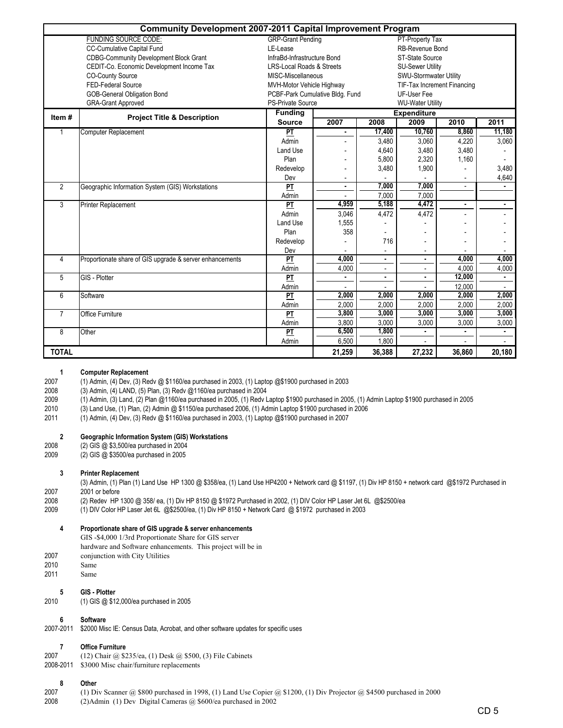|                | <b>Community Development 2007-2011 Capital Improvement Program</b> |                                             |                                 |                             |                          |                          |                |  |  |  |  |
|----------------|--------------------------------------------------------------------|---------------------------------------------|---------------------------------|-----------------------------|--------------------------|--------------------------|----------------|--|--|--|--|
|                | <b>FUNDING SOURCE CODE:</b>                                        | <b>GRP-Grant Pending</b><br>PT-Property Tax |                                 |                             |                          |                          |                |  |  |  |  |
|                | <b>CC-Cumulative Capital Fund</b>                                  | LE-Lease                                    |                                 |                             | <b>RB-Revenue Bond</b>   |                          |                |  |  |  |  |
|                | <b>CDBG-Community Development Block Grant</b>                      | InfraBd-Infrastructure Bond                 |                                 |                             | ST-State Source          |                          |                |  |  |  |  |
|                | CEDIT-Co. Economic Development Income Tax                          | <b>LRS-Local Roads &amp; Streets</b>        |                                 |                             | <b>SU-Sewer Utility</b>  |                          |                |  |  |  |  |
|                | <b>CO-County Source</b>                                            | MISC-Miscellaneous                          |                                 |                             | SWU-Stormwater Utility   |                          |                |  |  |  |  |
|                | FED-Federal Source                                                 | MVH-Motor Vehicle Highway                   |                                 | TIF-Tax Increment Financing |                          |                          |                |  |  |  |  |
|                | GOB-General Obligation Bond                                        |                                             | PCBF-Park Cumulative Bldg. Fund | UF-User Fee                 |                          |                          |                |  |  |  |  |
|                | <b>GRA-Grant Approved</b>                                          | <b>PS-Private Source</b>                    |                                 | <b>WU-Water Utility</b>     |                          |                          |                |  |  |  |  |
| Item#          | <b>Project Title &amp; Description</b>                             | <b>Funding</b>                              |                                 |                             | <b>Expenditure</b>       |                          |                |  |  |  |  |
|                |                                                                    | <b>Source</b>                               | 2007                            | 2008                        | 2009                     | 2010                     | 2011           |  |  |  |  |
|                | Computer Replacement                                               | PT                                          | ٠                               | 17,400                      | 10,760                   | 8,860                    | 11,180         |  |  |  |  |
|                |                                                                    | Admin                                       |                                 | 3,480                       | 3,060                    | 4,220                    | 3,060          |  |  |  |  |
|                |                                                                    | Land Use                                    |                                 | 4,640                       | 3,480                    | 3,480                    |                |  |  |  |  |
|                |                                                                    | Plan                                        |                                 | 5,800                       | 2,320                    | 1,160                    |                |  |  |  |  |
|                |                                                                    | Redevelop                                   |                                 | 3,480                       | 1,900                    |                          | 3,480          |  |  |  |  |
|                |                                                                    | Dev                                         |                                 |                             |                          |                          | 4,640          |  |  |  |  |
| $\overline{2}$ | Geographic Information System (GIS) Workstations                   | $\overline{PT}$                             | $\blacksquare$                  | 7.000                       | 7,000                    | $\overline{\phantom{a}}$ |                |  |  |  |  |
|                |                                                                    | Admin                                       |                                 | 7.000                       | 7,000                    |                          |                |  |  |  |  |
| 3              | Printer Replacement                                                | $\overline{\mathbf{p}}$                     | 4.959                           | 5,188                       | 4,472                    | ٠                        | $\blacksquare$ |  |  |  |  |
|                |                                                                    | Admin                                       | 3,046                           | 4,472                       | 4,472                    |                          |                |  |  |  |  |
|                |                                                                    | Land Use                                    | 1,555                           |                             |                          |                          |                |  |  |  |  |
|                |                                                                    | Plan                                        | 358                             |                             |                          |                          |                |  |  |  |  |
|                |                                                                    | Redevelop                                   |                                 | 716                         | $\overline{\phantom{a}}$ |                          |                |  |  |  |  |
|                |                                                                    | Dev                                         |                                 |                             | -                        |                          |                |  |  |  |  |
| 4              | Proportionate share of GIS upgrade & server enhancements           | $\overline{PT}$                             | 4,000                           | $\blacksquare$              | $\blacksquare$           | 4,000                    | 4,000          |  |  |  |  |
|                |                                                                    | Admin                                       | 4,000                           | ÷.                          | $\overline{a}$           | 4,000                    | 4,000          |  |  |  |  |
| 5              | GIS - Plotter                                                      | PT                                          |                                 | $\blacksquare$              | $\blacksquare$           | 12,000                   |                |  |  |  |  |
|                |                                                                    | Admin                                       |                                 |                             |                          | 12,000                   |                |  |  |  |  |
| 6              | Software                                                           | $\overline{\mathsf{PT}}$                    | 2.000                           | 2.000                       | 2,000                    | 2.000                    | 2,000          |  |  |  |  |
|                |                                                                    | Admin                                       | 2,000                           | 2,000                       | 2,000                    | 2,000                    | 2,000          |  |  |  |  |
| $\overline{7}$ | Office Furniture                                                   | $\overline{PT}$                             | 3,800                           | 3,000                       | 3,000                    | 3,000                    | 3,000          |  |  |  |  |
|                |                                                                    | Admin                                       | 3,800                           | 3,000                       | 3,000                    | 3,000                    | 3,000          |  |  |  |  |
| 8              | Other                                                              | PI                                          | 6,500                           | 1,800                       | $\blacksquare$           | ٠.                       | ۰.             |  |  |  |  |
|                |                                                                    | Admin                                       | 6,500                           | 1,800                       |                          |                          |                |  |  |  |  |
| <b>TOTAL</b>   |                                                                    | 21,259                                      | 36,388                          | 27,232                      | 36,860                   | 20,180                   |                |  |  |  |  |

#### 1 Computer Replacement

2007 (1) Admin, (4) Dev, (3) Redv @ \$1160/ea purchased in 2003, (1) Laptop @\$1900 purchased in 2003

2008 (3) Admin, (4) LAND, (5) Plan, (3) Redv @1160/ea purchased in 2004

2009 (1) Admin, (3) Land, (2) Plan @1160/ea purchased in 2005, (1) Redv Laptop \$1900 purchased in 2005, (1) Admin Laptop \$1900 purchased in 2005

2010 (3) Land Use, (1) Plan, (2) Admin @ \$1150/ea purchased 2006, (1) Admin Laptop \$1900 purchased in 2006

2011 (1) Admin, (4) Dev, (3) Redv @ \$1160/ea purchased in 2003, (1) Laptop @\$1900 purchased in 2007

#### 2 Geographic Information System (GIS) Workstations

- 2008 (2) GIS @ \$3,500/ea purchased in 2004
- 2009 (2) GIS @ \$3500/ea purchased in 2005

#### 3 Printer Replacement

2007<br>2008 (3) Admin, (1) Plan (1) Land Use HP 1300 @ \$358/ea, (1) Land Use HP4200 + Network card @ \$1197, (1) Div HP 8150 + network card @\$1972 Purchased in 2001 or before

2008 (2) Redev HP 1300 @ 358/ ea, (1) Div HP 8150 @ \$1972 Purchased in 2002, (1) DIV Color HP Laser Jet 6L @\$2500/ea<br>2009 (1) DIV Color HP Laser Jet 6L @\$2500/ea. (1) Div HP 8150 + Network Card @ \$1972 purchased in 2003

2009 (1) DIV Color HP Laser Jet 6L @\$2500/ea, (1) Div HP 8150 + Network Card @ \$1972 purchased in 2003

### 4 Proportionate share of GIS upgrade & server enhancements

GIS -\$4,000 1/3rd Proportionate Share for GIS server

- hardware and Software enhancements. This project will be in
- 2007 conjunction with City Utilities
- 2010 Same<br>2011 Same
- Same

# 5 GIS - Plotter

2010 (1) GIS @ \$12,000/ea purchased in 2005

# 6 Software

2007-2011 \$2000 Misc IE: Census Data, Acrobat, and other software updates for specific uses

### 7 Office Furniture

- 2007 (12) Chair @ \$235/ea, (1) Desk @ \$500, (3) File Cabinets
- 2008-2011 \$3000 Misc chair/furniture replacements

# 8 Other

- 2007 (1) Div Scanner @ \$800 purchased in 1998, (1) Land Use Copier @ \$1200, (1) Div Projector @ \$4500 purchased in 2000
- 2008 (2)Admin (1) Dev Digital Cameras @ \$600/ea purchased in 2002